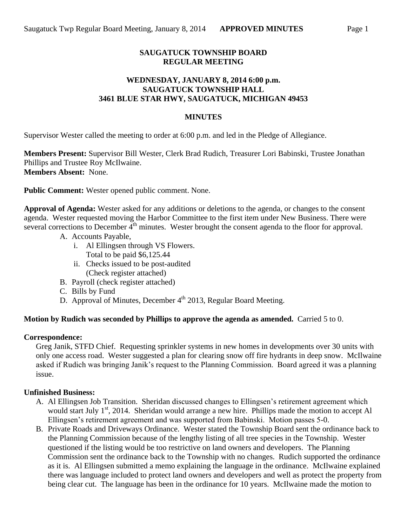# **SAUGATUCK TOWNSHIP BOARD REGULAR MEETING**

## **WEDNESDAY, JANUARY 8, 2014 6:00 p.m. SAUGATUCK TOWNSHIP HALL 3461 BLUE STAR HWY, SAUGATUCK, MICHIGAN 49453**

### **MINUTES**

Supervisor Wester called the meeting to order at 6:00 p.m. and led in the Pledge of Allegiance.

**Members Present:** Supervisor Bill Wester, Clerk Brad Rudich, Treasurer Lori Babinski, Trustee Jonathan Phillips and Trustee Roy McIlwaine. **Members Absent:** None.

**Public Comment:** Wester opened public comment. None.

**Approval of Agenda:** Wester asked for any additions or deletions to the agenda, or changes to the consent agenda. Wester requested moving the Harbor Committee to the first item under New Business. There were several corrections to December  $4<sup>th</sup>$  minutes. Wester brought the consent agenda to the floor for approval.

- A. Accounts Payable,
	- i. Al Ellingsen through VS Flowers. Total to be paid \$6,125.44
	- ii. Checks issued to be post-audited (Check register attached)
- B. Payroll (check register attached)
- C. Bills by Fund
- D. Approval of Minutes, December  $4<sup>th</sup>$  2013, Regular Board Meeting.

### **Motion by Rudich was seconded by Phillips to approve the agenda as amended.** Carried 5 to 0.

#### **Correspondence:**

Greg Janik, STFD Chief. Requesting sprinkler systems in new homes in developments over 30 units with only one access road. Wester suggested a plan for clearing snow off fire hydrants in deep snow. McIlwaine asked if Rudich was bringing Janik's request to the Planning Commission. Board agreed it was a planning issue.

### **Unfinished Business:**

- A. Al Ellingsen Job Transition. Sheridan discussed changes to Ellingsen's retirement agreement which would start July 1<sup>st</sup>, 2014. Sheridan would arrange a new hire. Phillips made the motion to accept Al Ellingsen's retirement agreement and was supported from Babinski. Motion passes 5-0.
- B. Private Roads and Driveways Ordinance. Wester stated the Township Board sent the ordinance back to the Planning Commission because of the lengthy listing of all tree species in the Township. Wester questioned if the listing would be too restrictive on land owners and developers. The Planning Commission sent the ordinance back to the Township with no changes. Rudich supported the ordinance as it is. Al Ellingsen submitted a memo explaining the language in the ordinance. McIlwaine explained there was language included to protect land owners and developers and well as protect the property from being clear cut. The language has been in the ordinance for 10 years. McIlwaine made the motion to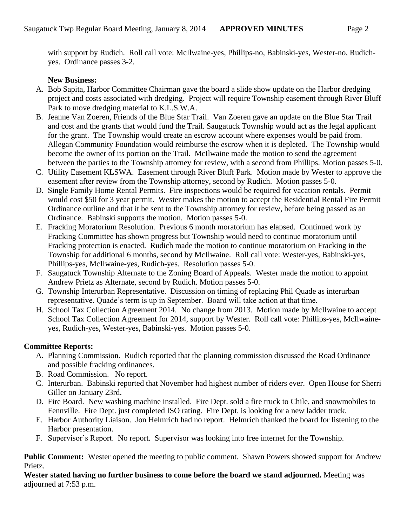with support by Rudich. Roll call vote: McIlwaine-yes, Phillips-no, Babinski-yes, Wester-no, Rudichyes. Ordinance passes 3-2.

# **New Business:**

- A. Bob Sapita, Harbor Committee Chairman gave the board a slide show update on the Harbor dredging project and costs associated with dredging. Project will require Township easement through River Bluff Park to move dredging material to K.L.S.W.A.
- B. Jeanne Van Zoeren, Friends of the Blue Star Trail. Van Zoeren gave an update on the Blue Star Trail and cost and the grants that would fund the Trail. Saugatuck Township would act as the legal applicant for the grant. The Township would create an escrow account where expenses would be paid from. Allegan Community Foundation would reimburse the escrow when it is depleted. The Township would become the owner of its portion on the Trail. McIlwaine made the motion to send the agreement between the parties to the Township attorney for review, with a second from Phillips. Motion passes 5-0.
- C. Utility Easement KLSWA. Easement through River Bluff Park. Motion made by Wester to approve the easement after review from the Township attorney, second by Rudich. Motion passes 5-0.
- D. Single Family Home Rental Permits. Fire inspections would be required for vacation rentals. Permit would cost \$50 for 3 year permit. Wester makes the motion to accept the Residential Rental Fire Permit Ordinance outline and that it be sent to the Township attorney for review, before being passed as an Ordinance. Babinski supports the motion. Motion passes 5-0.
- E. Fracking Moratorium Resolution. Previous 6 month moratorium has elapsed. Continued work by Fracking Committee has shown progress but Township would need to continue moratorium until Fracking protection is enacted. Rudich made the motion to continue moratorium on Fracking in the Township for additional 6 months, second by McIlwaine. Roll call vote: Wester-yes, Babinski-yes, Phillips-yes, McIlwaine-yes, Rudich-yes. Resolution passes 5-0.
- F. Saugatuck Township Alternate to the Zoning Board of Appeals. Wester made the motion to appoint Andrew Prietz as Alternate, second by Rudich. Motion passes 5-0.
- G. Township Interurban Representative. Discussion on timing of replacing Phil Quade as interurban representative. Quade's term is up in September. Board will take action at that time.
- H. School Tax Collection Agreement 2014. No change from 2013. Motion made by McIlwaine to accept School Tax Collection Agreement for 2014, support by Wester. Roll call vote: Phillips-yes, McIlwaineyes, Rudich-yes, Wester-yes, Babinski-yes. Motion passes 5-0.

# **Committee Reports:**

- A. Planning Commission. Rudich reported that the planning commission discussed the Road Ordinance and possible fracking ordinances.
- B. Road Commission. No report.
- C. Interurban. Babinski reported that November had highest number of riders ever. Open House for Sherri Giller on January 23rd.
- D. Fire Board. New washing machine installed. Fire Dept. sold a fire truck to Chile, and snowmobiles to Fennville. Fire Dept. just completed ISO rating. Fire Dept. is looking for a new ladder truck.
- E. Harbor Authority Liaison. Jon Helmrich had no report. Helmrich thanked the board for listening to the Harbor presentation.
- F. Supervisor's Report. No report. Supervisor was looking into free internet for the Township.

**Public Comment:** Wester opened the meeting to public comment. Shawn Powers showed support for Andrew Prietz.

**Wester stated having no further business to come before the board we stand adjourned.** Meeting was adjourned at 7:53 p.m.